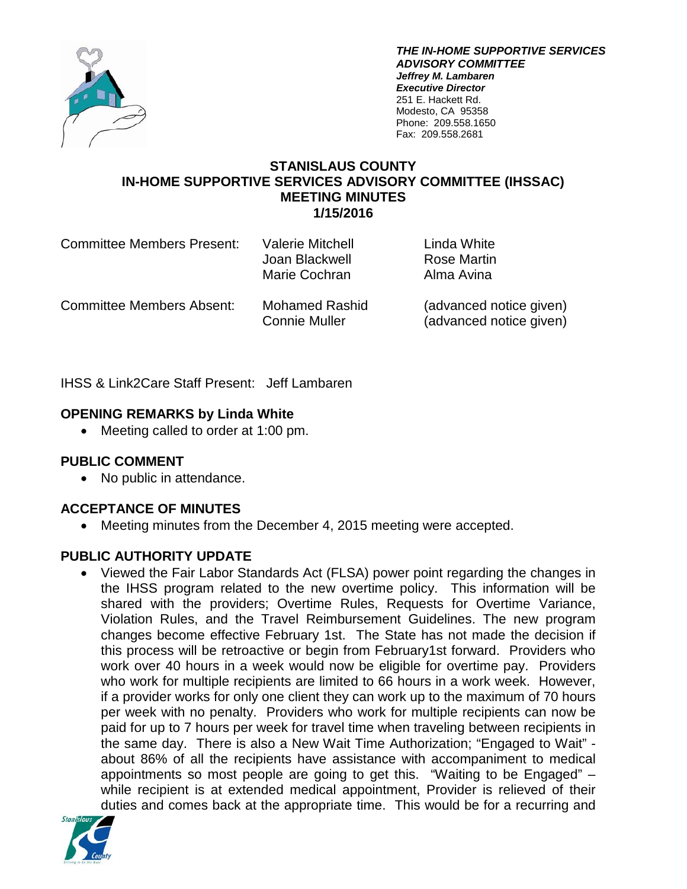

*THE IN-HOME SUPPORTIVE SERVICES ADVISORY COMMITTEE Jeffrey M. Lambaren Executive Director* 251 E. Hackett Rd. Modesto, CA 95358 Phone: 209.558.1650 Fax: 209.558.2681

#### **STANISLAUS COUNTY IN-HOME SUPPORTIVE SERVICES ADVISORY COMMITTEE (IHSSAC) MEETING MINUTES 1/15/2016**

| <b>Committee Members Present:</b> | <b>Valerie Mitchell</b><br>Joan Blackwell<br>Marie Cochran | Linda White<br>Rose Martin<br>Alma Avina           |
|-----------------------------------|------------------------------------------------------------|----------------------------------------------------|
| <b>Committee Members Absent:</b>  | <b>Mohamed Rashid</b><br><b>Connie Muller</b>              | (advanced notice given)<br>(advanced notice given) |

IHSS & Link2Care Staff Present: Jeff Lambaren

## **OPENING REMARKS by Linda White**

• Meeting called to order at 1:00 pm.

## **PUBLIC COMMENT**

• No public in attendance.

## **ACCEPTANCE OF MINUTES**

• Meeting minutes from the December 4, 2015 meeting were accepted.

## **PUBLIC AUTHORITY UPDATE**

• Viewed the Fair Labor Standards Act (FLSA) power point regarding the changes in the IHSS program related to the new overtime policy. This information will be shared with the providers; Overtime Rules, Requests for Overtime Variance, Violation Rules, and the Travel Reimbursement Guidelines. The new program changes become effective February 1st. The State has not made the decision if this process will be retroactive or begin from February1st forward. Providers who work over 40 hours in a week would now be eligible for overtime pay. Providers who work for multiple recipients are limited to 66 hours in a work week. However, if a provider works for only one client they can work up to the maximum of 70 hours per week with no penalty. Providers who work for multiple recipients can now be paid for up to 7 hours per week for travel time when traveling between recipients in the same day. There is also a New Wait Time Authorization; "Engaged to Wait" about 86% of all the recipients have assistance with accompaniment to medical appointments so most people are going to get this. "Waiting to be Engaged" – while recipient is at extended medical appointment, Provider is relieved of their duties and comes back at the appropriate time. This would be for a recurring and

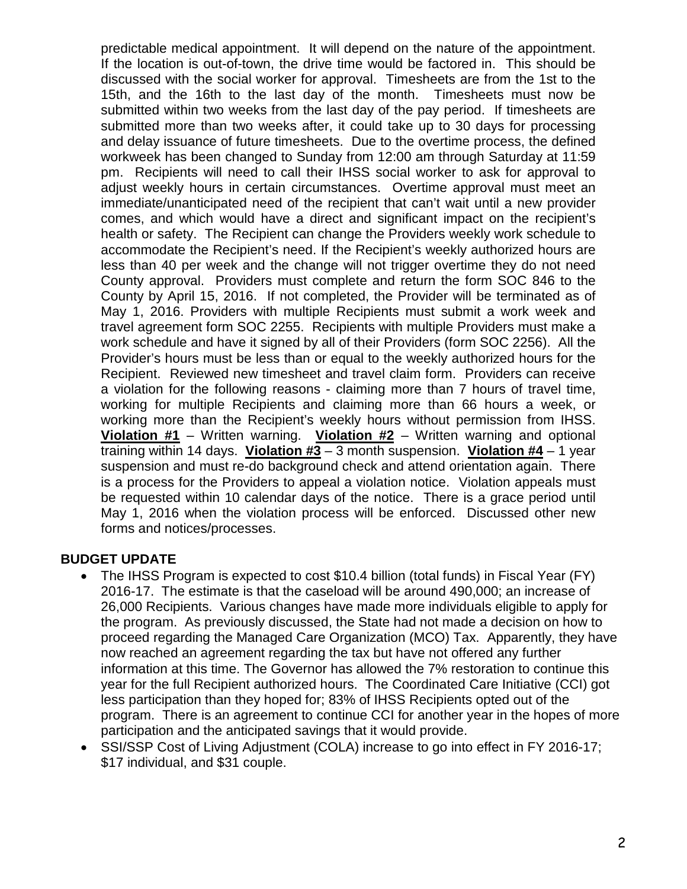predictable medical appointment. It will depend on the nature of the appointment. If the location is out-of-town, the drive time would be factored in. This should be discussed with the social worker for approval. Timesheets are from the 1st to the 15th, and the 16th to the last day of the month. Timesheets must now be submitted within two weeks from the last day of the pay period. If timesheets are submitted more than two weeks after, it could take up to 30 days for processing and delay issuance of future timesheets. Due to the overtime process, the defined workweek has been changed to Sunday from 12:00 am through Saturday at 11:59 pm. Recipients will need to call their IHSS social worker to ask for approval to adjust weekly hours in certain circumstances. Overtime approval must meet an immediate/unanticipated need of the recipient that can't wait until a new provider comes, and which would have a direct and significant impact on the recipient's health or safety. The Recipient can change the Providers weekly work schedule to accommodate the Recipient's need. If the Recipient's weekly authorized hours are less than 40 per week and the change will not trigger overtime they do not need County approval. Providers must complete and return the form SOC 846 to the County by April 15, 2016. If not completed, the Provider will be terminated as of May 1, 2016. Providers with multiple Recipients must submit a work week and travel agreement form SOC 2255. Recipients with multiple Providers must make a work schedule and have it signed by all of their Providers (form SOC 2256). All the Provider's hours must be less than or equal to the weekly authorized hours for the Recipient. Reviewed new timesheet and travel claim form. Providers can receive a violation for the following reasons - claiming more than 7 hours of travel time, working for multiple Recipients and claiming more than 66 hours a week, or working more than the Recipient's weekly hours without permission from IHSS. **Violation #1** – Written warning. **Violation #2** – Written warning and optional training within 14 days. **Violation #3** – 3 month suspension. **Violation #4** – 1 year suspension and must re-do background check and attend orientation again. There is a process for the Providers to appeal a violation notice. Violation appeals must be requested within 10 calendar days of the notice. There is a grace period until May 1, 2016 when the violation process will be enforced. Discussed other new forms and notices/processes.

#### **BUDGET UPDATE**

- The IHSS Program is expected to cost \$10.4 billion (total funds) in Fiscal Year (FY) 2016-17. The estimate is that the caseload will be around 490,000; an increase of 26,000 Recipients. Various changes have made more individuals eligible to apply for the program. As previously discussed, the State had not made a decision on how to proceed regarding the Managed Care Organization (MCO) Tax. Apparently, they have now reached an agreement regarding the tax but have not offered any further information at this time. The Governor has allowed the 7% restoration to continue this year for the full Recipient authorized hours. The Coordinated Care Initiative (CCI) got less participation than they hoped for; 83% of IHSS Recipients opted out of the program. There is an agreement to continue CCI for another year in the hopes of more participation and the anticipated savings that it would provide.
- SSI/SSP Cost of Living Adjustment (COLA) increase to go into effect in FY 2016-17; \$17 individual, and \$31 couple.